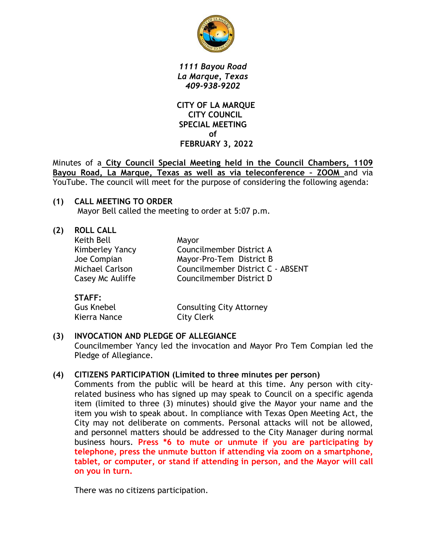

*1111 Bayou Road La Marque, Texas 409-938-9202*

 **CITY OF LA MARQUE CITY COUNCIL SPECIAL MEETING of FEBRUARY 3, 2022**

Minutes of a **City Council Special Meeting held in the Council Chambers, 1109 Bayou Road, La Marque, Texas as well as via teleconference – ZOOM** and via YouTube. The council will meet for the purpose of considering the following agenda:

**(1) CALL MEETING TO ORDER** Mayor Bell called the meeting to order at 5:07 p.m.

| <b>ROLL CALL</b> |                                   |
|------------------|-----------------------------------|
| Keith Bell       | Mayor                             |
| Kimberley Yancy  | Councilmember District A          |
| Joe Compian      | Mayor-Pro-Tem District B          |
| Michael Carlson  | Councilmember District C - ABSENT |
| Casey Mc Auliffe | Councilmember District D          |
|                  |                                   |
|                  |                                   |

| SIAFF:            |                                 |
|-------------------|---------------------------------|
| <b>Gus Knebel</b> | <b>Consulting City Attorney</b> |
| Kierra Nance      | City Clerk                      |

# **(3) INVOCATION AND PLEDGE OF ALLEGIANCE**

Councilmember Yancy led the invocation and Mayor Pro Tem Compian led the Pledge of Allegiance.

#### **(4) CITIZENS PARTICIPATION (Limited to three minutes per person)**

Comments from the public will be heard at this time. Any person with cityrelated business who has signed up may speak to Council on a specific agenda item (limited to three (3) minutes) should give the Mayor your name and the item you wish to speak about. In compliance with Texas Open Meeting Act, the City may not deliberate on comments. Personal attacks will not be allowed, and personnel matters should be addressed to the City Manager during normal business hours. **Press \*6 to mute or unmute if you are participating by telephone, press the unmute button if attending via zoom on a smartphone, tablet, or computer, or stand if attending in person, and the Mayor will call on you in turn.**

There was no citizens participation.